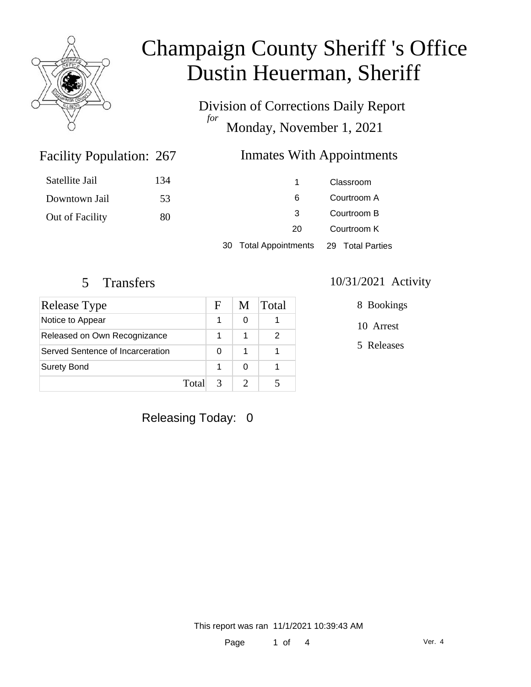

Division of Corrections Daily Report *for* Monday, November 1, 2021

### Inmates With Appointments

| Satellite Jail  | 134 |                       | Classroom        |
|-----------------|-----|-----------------------|------------------|
| Downtown Jail   | 53  | 6                     | Courtroom A      |
| Out of Facility | 80  | -3                    | Courtroom B      |
|                 |     | 20                    | Courtroom K      |
|                 |     | 30 Total Appointments | 29 Total Parties |

Facility Population: 267

| Release Type                     |       | H | M | Total |
|----------------------------------|-------|---|---|-------|
| Notice to Appear                 |       |   |   |       |
| Released on Own Recognizance     |       |   |   |       |
| Served Sentence of Incarceration |       | O | 1 |       |
| <b>Surety Bond</b>               |       |   | O |       |
|                                  | Total | 3 |   |       |

#### 5 Transfers 10/31/2021 Activity

8 Bookings

10 Arrest

5 Releases

Releasing Today: 0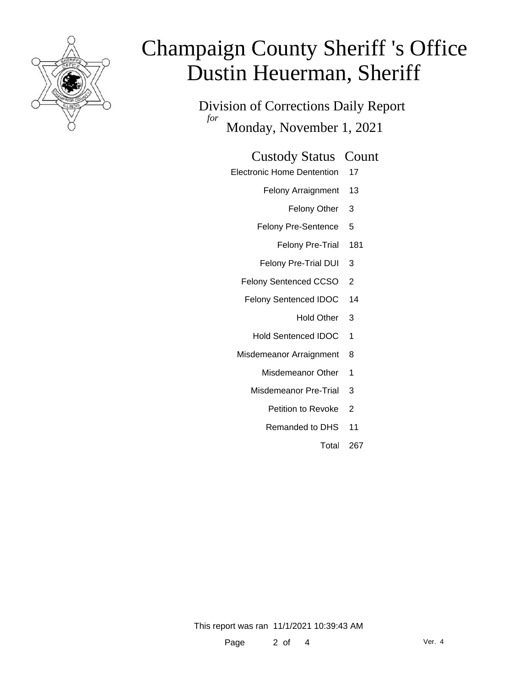

Division of Corrections Daily Report *for* Monday, November 1, 2021

#### Custody Status Count

- Electronic Home Dentention 17
	- Felony Arraignment 13
		- Felony Other 3
	- Felony Pre-Sentence 5
		- Felony Pre-Trial 181
	- Felony Pre-Trial DUI 3
	- Felony Sentenced CCSO 2
	- Felony Sentenced IDOC 14
		- Hold Other 3
		- Hold Sentenced IDOC 1
	- Misdemeanor Arraignment 8
		- Misdemeanor Other 1
		- Misdemeanor Pre-Trial 3
			- Petition to Revoke 2
			- Remanded to DHS 11
				- Total 267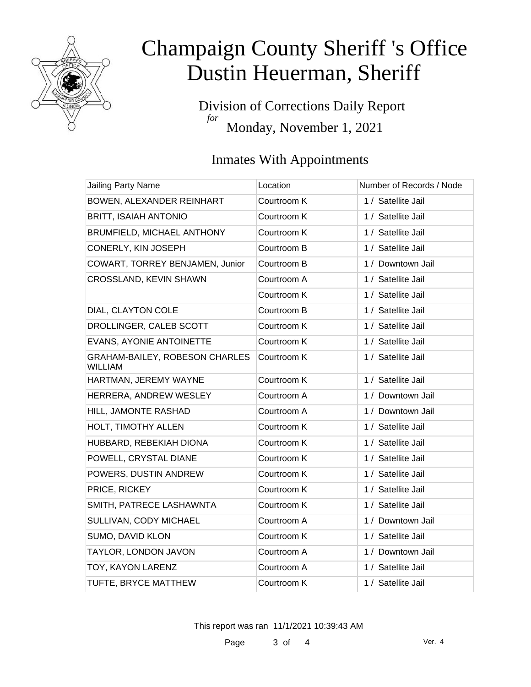

Division of Corrections Daily Report *for* Monday, November 1, 2021

### Inmates With Appointments

| Jailing Party Name                               | Location    | Number of Records / Node |
|--------------------------------------------------|-------------|--------------------------|
| BOWEN, ALEXANDER REINHART                        | Courtroom K | 1 / Satellite Jail       |
| <b>BRITT, ISAIAH ANTONIO</b>                     | Courtroom K | 1 / Satellite Jail       |
| BRUMFIELD, MICHAEL ANTHONY                       | Courtroom K | 1 / Satellite Jail       |
| CONERLY, KIN JOSEPH                              | Courtroom B | 1 / Satellite Jail       |
| COWART, TORREY BENJAMEN, Junior                  | Courtroom B | 1 / Downtown Jail        |
| CROSSLAND, KEVIN SHAWN                           | Courtroom A | 1 / Satellite Jail       |
|                                                  | Courtroom K | 1 / Satellite Jail       |
| DIAL, CLAYTON COLE                               | Courtroom B | 1 / Satellite Jail       |
| DROLLINGER, CALEB SCOTT                          | Courtroom K | 1 / Satellite Jail       |
| EVANS, AYONIE ANTOINETTE                         | Courtroom K | 1 / Satellite Jail       |
| GRAHAM-BAILEY, ROBESON CHARLES<br><b>WILLIAM</b> | Courtroom K | 1 / Satellite Jail       |
| HARTMAN, JEREMY WAYNE                            | Courtroom K | 1 / Satellite Jail       |
| HERRERA, ANDREW WESLEY                           | Courtroom A | 1 / Downtown Jail        |
| HILL, JAMONTE RASHAD                             | Courtroom A | 1 / Downtown Jail        |
| HOLT, TIMOTHY ALLEN                              | Courtroom K | 1 / Satellite Jail       |
| HUBBARD, REBEKIAH DIONA                          | Courtroom K | 1 / Satellite Jail       |
| POWELL, CRYSTAL DIANE                            | Courtroom K | 1 / Satellite Jail       |
| POWERS, DUSTIN ANDREW                            | Courtroom K | 1 / Satellite Jail       |
| PRICE, RICKEY                                    | Courtroom K | 1 / Satellite Jail       |
| SMITH, PATRECE LASHAWNTA                         | Courtroom K | 1 / Satellite Jail       |
| SULLIVAN, CODY MICHAEL                           | Courtroom A | 1 / Downtown Jail        |
| SUMO, DAVID KLON                                 | Courtroom K | 1 / Satellite Jail       |
| TAYLOR, LONDON JAVON                             | Courtroom A | 1 / Downtown Jail        |
| TOY, KAYON LARENZ                                | Courtroom A | 1 / Satellite Jail       |
| TUFTE, BRYCE MATTHEW                             | Courtroom K | 1 / Satellite Jail       |